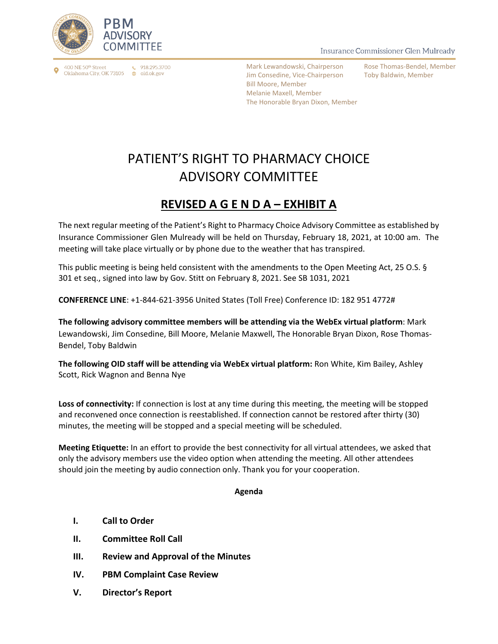

400 NE 50th Street Oklahoma City, OK 73105 ⊕ oid.ok.gov

 $\binom{918.295.3700}{ }$ 

Insurance Commissioner Glen Mulready

Mark Lewandowski, Chairperson Jim Consedine, Vice-Chairperson Bill Moore, Member Melanie Maxell, Member The Honorable Bryan Dixon, Member Rose Thomas-Bendel, Member Toby Baldwin, Member

## PATIENT'S RIGHT TO PHARMACY CHOICE ADVISORY COMMITTEE

## **REVISED A G E N D A – EXHIBIT A**

The next regular meeting of the Patient's Right to Pharmacy Choice Advisory Committee as established by Insurance Commissioner Glen Mulready will be held on Thursday, February 18, 2021, at 10:00 am. The meeting will take place virtually or by phone due to the weather that has transpired.

This public meeting is being held consistent with the amendments to the Open Meeting Act, 25 O.S. § 301 et seq., signed into law by Gov. Stitt on February 8, 2021. See SB 1031, 2021

**CONFERENCE LINE**: +1-844-621-3956 United States (Toll Free) Conference ID: 182 951 4772#

**The following advisory committee members will be attending via the WebEx virtual platform**: Mark Lewandowski, Jim Consedine, Bill Moore, Melanie Maxwell, The Honorable Bryan Dixon, Rose Thomas-Bendel, Toby Baldwin

**The following OID staff will be attending via WebEx virtual platform:** Ron White, Kim Bailey, Ashley Scott, Rick Wagnon and Benna Nye

**Loss of connectivity:** If connection is lost at any time during this meeting, the meeting will be stopped and reconvened once connection is reestablished. If connection cannot be restored after thirty (30) minutes, the meeting will be stopped and a special meeting will be scheduled.

**Meeting Etiquette:** In an effort to provide the best connectivity for all virtual attendees, we asked that only the advisory members use the video option when attending the meeting. All other attendees should join the meeting by audio connection only. Thank you for your cooperation.

## **Agenda**

- **I. Call to Order**
- **II. Committee Roll Call**
- **III. Review and Approval of the Minutes**
- **IV. PBM Complaint Case Review**
- **V. Director's Report**